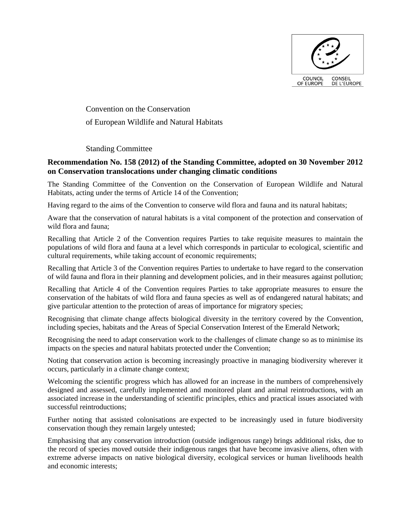

Convention on the Conservation of European Wildlife and Natural Habitats

## Standing Committee

## **Recommendation No. 158 (2012) of the Standing Committee, adopted on 30 November 2012 on Conservation translocations under changing climatic conditions**

The Standing Committee of the Convention on the Conservation of European Wildlife and Natural Habitats, acting under the terms of Article 14 of the Convention;

Having regard to the aims of the Convention to conserve wild flora and fauna and its natural habitats;

Aware that the conservation of natural habitats is a vital component of the protection and conservation of wild flora and fauna;

Recalling that Article 2 of the Convention requires Parties to take requisite measures to maintain the populations of wild flora and fauna at a level which corresponds in particular to ecological, scientific and cultural requirements, while taking account of economic requirements;

Recalling that Article 3 of the Convention requires Parties to undertake to have regard to the conservation of wild fauna and flora in their planning and development policies, and in their measures against pollution;

Recalling that Article 4 of the Convention requires Parties to take appropriate measures to ensure the conservation of the habitats of wild flora and fauna species as well as of endangered natural habitats; and give particular attention to the protection of areas of importance for migratory species;

Recognising that climate change affects biological diversity in the territory covered by the Convention, including species, habitats and the Areas of Special Conservation Interest of the Emerald Network;

Recognising the need to adapt conservation work to the challenges of climate change so as to minimise its impacts on the species and natural habitats protected under the Convention;

Noting that conservation action is becoming increasingly proactive in managing biodiversity wherever it occurs, particularly in a climate change context;

Welcoming the scientific progress which has allowed for an increase in the numbers of comprehensively designed and assessed, carefully implemented and monitored plant and animal reintroductions, with an associated increase in the understanding of scientific principles, ethics and practical issues associated with successful reintroductions;

Further noting that assisted colonisations are expected to be increasingly used in future biodiversity conservation though they remain largely untested;

Emphasising that any conservation introduction (outside indigenous range) brings additional risks, due to the record of species moved outside their indigenous ranges that have become invasive aliens, often with extreme adverse impacts on native biological diversity, ecological services or human livelihoods health and economic interests;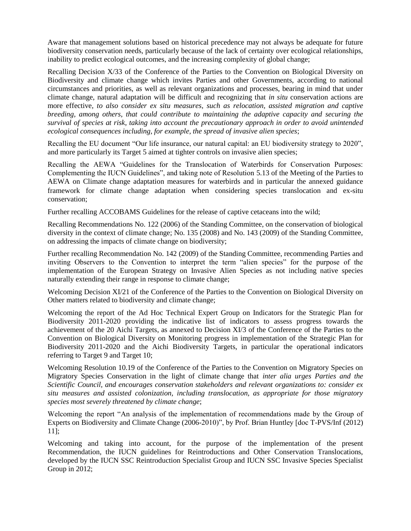Aware that management solutions based on historical precedence may not always be adequate for future biodiversity conservation needs, particularly because of the lack of certainty over ecological relationships, inability to predict ecological outcomes, and the increasing complexity of global change;

Recalling Decision X/33 of the Conference of the Parties to the Convention on Biological Diversity on Biodiversity and climate change which invites Parties and other Governments, according to national circumstances and priorities, as well as relevant organizations and processes, bearing in mind that under climate change, natural adaptation will be difficult and recognizing that *in situ* conservation actions are more effective, *to also consider ex situ measures, such as relocation, assisted migration and captive breeding, among others, that could contribute to maintaining the adaptive capacity and securing the survival of species at risk, taking into account the precautionary approach in order to avoid unintended ecological consequences including, for example, the spread of invasive alien species*;

Recalling the EU document "Our life insurance, our natural capital: an EU biodiversity strategy to 2020", and more particularly its Target 5 aimed at tighter controls on invasive alien species;

Recalling the AEWA "Guidelines for the Translocation of Waterbirds for Conservation Purposes: Complementing the IUCN Guidelines", and taking note of Resolution 5.13 of the Meeting of the Parties to AEWA on Climate change adaptation measures for waterbirds and in particular the annexed guidance framework for climate change adaptation when considering species translocation and ex-situ conservation;

Further recalling ACCOBAMS Guidelines for the release of captive cetaceans into the wild;

Recalling Recommendations No. 122 (2006) of the Standing Committee, on the conservation of biological diversity in the context of climate change; No. 135 (2008) and No. 143 (2009) of the Standing Committee, on addressing the impacts of climate change on biodiversity;

Further recalling Recommendation No. 142 (2009) of the Standing Committee, recommending Parties and inviting Observers to the Convention to interpret the term "alien species" for the purpose of the implementation of the European Strategy on Invasive Alien Species as not including native species naturally extending their range in response to climate change;

Welcoming Decision XI/21 of the Conference of the Parties to the Convention on Biological Diversity on Other matters related to biodiversity and climate change;

Welcoming the report of the Ad Hoc Technical Expert Group on Indicators for the Strategic Plan for Biodiversity 2011-2020 providing the indicative list of indicators to assess progress towards the achievement of the 20 Aichi Targets, as annexed to Decision XI/3 of the Conference of the Parties to the Convention on Biological Diversity on Monitoring progress in implementation of the Strategic Plan for Biodiversity 2011-2020 and the Aichi Biodiversity Targets, in particular the operational indicators referring to Target 9 and Target 10;

Welcoming Resolution 10.19 of the Conference of the Parties to the Convention on Migratory Species on Migratory Species Conservation in the light of climate change that *inter alia urges Parties and the Scientific Council, and encourages conservation stakeholders and relevant organizations to: consider ex situ measures and assisted colonization, including translocation, as appropriate for those migratory species most severely threatened by climate change*;

Welcoming the report "An analysis of the implementation of recommendations made by the Group of Experts on Biodiversity and Climate Change (2006-2010)", by Prof. Brian Huntley [doc T-PVS/Inf (2012) 11];

Welcoming and taking into account, for the purpose of the implementation of the present Recommendation, the IUCN guidelines for Reintroductions and Other Conservation Translocations, developed by the IUCN SSC Reintroduction Specialist Group and IUCN SSC Invasive Species Specialist Group in 2012;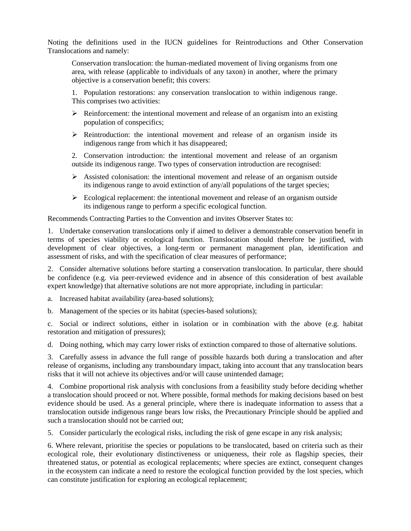Noting the definitions used in the IUCN guidelines for Reintroductions and Other Conservation Translocations and namely:

Conservation translocation: the human-mediated movement of living organisms from one area, with release (applicable to individuals of any taxon) in another, where the primary objective is a conservation benefit; this covers:

1. Population restorations: any conservation translocation to within indigenous range. This comprises two activities:

- $\triangleright$  Reinforcement: the intentional movement and release of an organism into an existing population of conspecifics;
- $\triangleright$  Reintroduction: the intentional movement and release of an organism inside its indigenous range from which it has disappeared;

2. Conservation introduction: the intentional movement and release of an organism outside its indigenous range. Two types of conservation introduction are recognised:

- $\triangleright$  Assisted colonisation: the intentional movement and release of an organism outside its indigenous range to avoid extinction of any/all populations of the target species;
- $\triangleright$  Ecological replacement: the intentional movement and release of an organism outside its indigenous range to perform a specific ecological function.

Recommends Contracting Parties to the Convention and invites Observer States to:

1. Undertake conservation translocations only if aimed to deliver a demonstrable conservation benefit in terms of species viability or ecological function. Translocation should therefore be justified, with development of clear objectives, a long-term or permanent management plan, identification and assessment of risks, and with the specification of clear measures of performance;

2. Consider alternative solutions before starting a conservation translocation. In particular, there should be confidence (e.g. via peer-reviewed evidence and in absence of this consideration of best available expert knowledge) that alternative solutions are not more appropriate, including in particular:

a. Increased habitat availability (area-based solutions);

b. Management of the species or its habitat (species-based solutions);

c. Social or indirect solutions, either in isolation or in combination with the above (e.g. habitat restoration and mitigation of pressures);

d. Doing nothing, which may carry lower risks of extinction compared to those of alternative solutions.

3. Carefully assess in advance the full range of possible hazards both during a translocation and after release of organisms, including any transboundary impact, taking into account that any translocation bears risks that it will not achieve its objectives and/or will cause unintended damage;

4. Combine proportional risk analysis with conclusions from a feasibility study before deciding whether a translocation should proceed or not. Where possible, formal methods for making decisions based on best evidence should be used. As a general principle, where there is inadequate information to assess that a translocation outside indigenous range bears low risks, the Precautionary Principle should be applied and such a translocation should not be carried out;

5. Consider particularly the ecological risks, including the risk of gene escape in any risk analysis;

6. Where relevant, prioritise the species or populations to be translocated, based on criteria such as their ecological role, their evolutionary distinctiveness or uniqueness, their role as flagship species, their threatened status, or potential as ecological replacements; where species are extinct, consequent changes in the ecosystem can indicate a need to restore the ecological function provided by the lost species, which can constitute justification for exploring an ecological replacement;